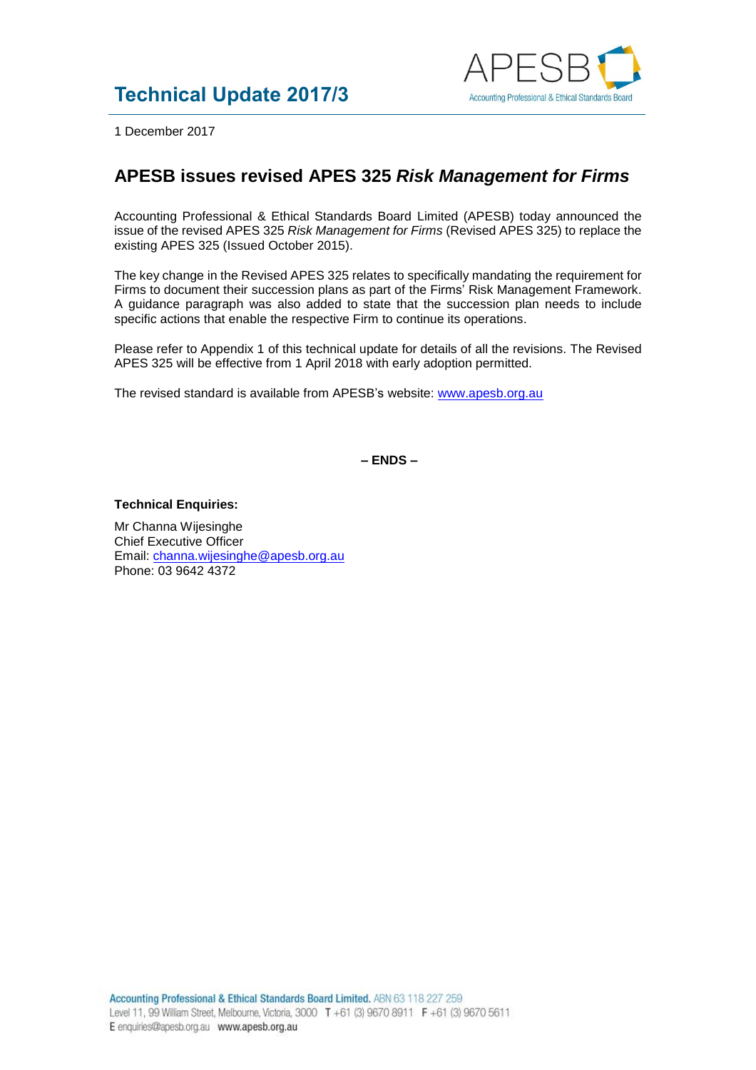

1 December 2017

## **APESB issues revised APES 325** *Risk Management for Firms*

Accounting Professional & Ethical Standards Board Limited (APESB) today announced the issue of the revised APES 325 *Risk Management for Firms* (Revised APES 325) to replace the existing APES 325 (Issued October 2015).

The key change in the Revised APES 325 relates to specifically mandating the requirement for Firms to document their succession plans as part of the Firms' Risk Management Framework. A guidance paragraph was also added to state that the succession plan needs to include specific actions that enable the respective Firm to continue its operations.

Please refer to Appendix 1 of this technical update for details of all the revisions. The Revised APES 325 will be effective from 1 April 2018 with early adoption permitted.

The revised standard is available from APESB's website: [www.apesb.org.au](http://www.apesb.org.au/)

**– ENDS –**

## **Technical Enquiries:**

Mr Channa Wijesinghe Chief Executive Officer Email: [channa.wijesinghe@apesb.org.au](mailto:channa.wijesinghe@apesb.org.au) Phone: 03 9642 4372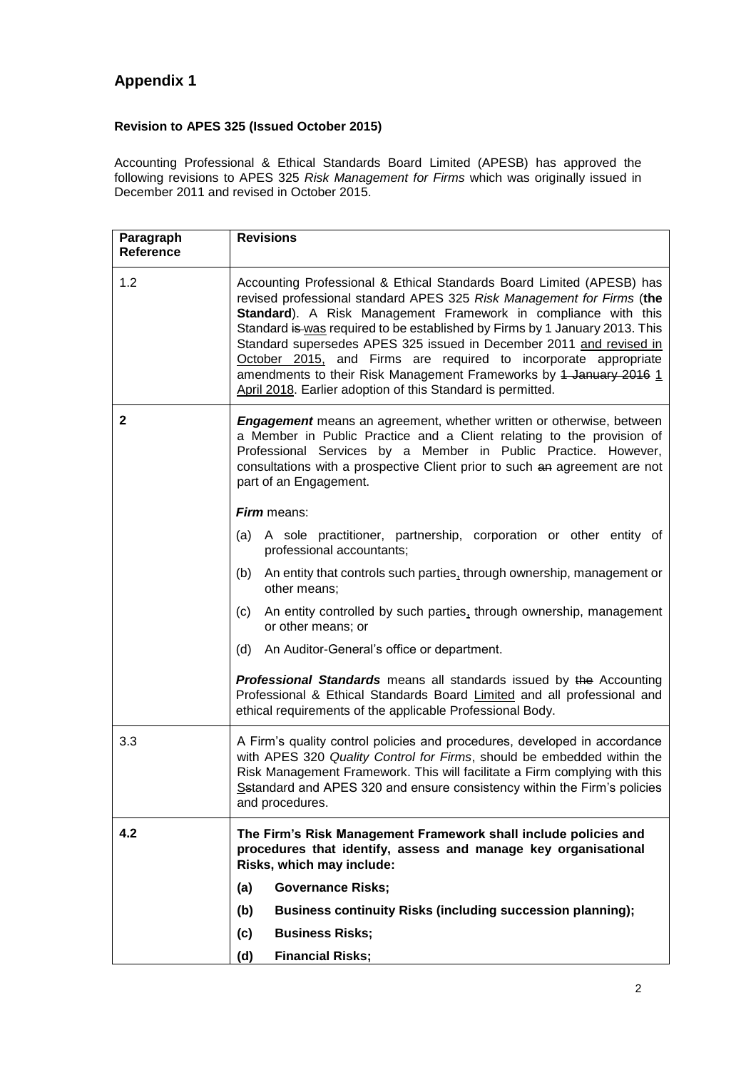## **Appendix 1**

## **Revision to APES 325 (Issued October 2015)**

Accounting Professional & Ethical Standards Board Limited (APESB) has approved the following revisions to APES 325 *Risk Management for Firms* which was originally issued in December 2011 and revised in October 2015.

| Paragraph<br><b>Reference</b> | <b>Revisions</b>                                                                                                                                                                                                                                                                                                                                                                                                                                                                                                                                                                                                                                                                                                                                                                                                                                                                                                                             |
|-------------------------------|----------------------------------------------------------------------------------------------------------------------------------------------------------------------------------------------------------------------------------------------------------------------------------------------------------------------------------------------------------------------------------------------------------------------------------------------------------------------------------------------------------------------------------------------------------------------------------------------------------------------------------------------------------------------------------------------------------------------------------------------------------------------------------------------------------------------------------------------------------------------------------------------------------------------------------------------|
| 1.2                           | Accounting Professional & Ethical Standards Board Limited (APESB) has<br>revised professional standard APES 325 Risk Management for Firms (the<br>Standard). A Risk Management Framework in compliance with this<br>Standard is was required to be established by Firms by 1 January 2013. This<br>Standard supersedes APES 325 issued in December 2011 and revised in<br>October 2015, and Firms are required to incorporate appropriate<br>amendments to their Risk Management Frameworks by 4 January 2016 1<br>April 2018. Earlier adoption of this Standard is permitted.                                                                                                                                                                                                                                                                                                                                                               |
| $\mathbf{2}$                  | <b>Engagement</b> means an agreement, whether written or otherwise, between<br>a Member in Public Practice and a Client relating to the provision of<br>Professional Services by a Member in Public Practice. However,<br>consultations with a prospective Client prior to such an agreement are not<br>part of an Engagement.<br><b>Firm</b> means:<br>A sole practitioner, partnership, corporation or other entity of<br>(a)<br>professional accountants;<br>An entity that controls such parties, through ownership, management or<br>(b)<br>other means;<br>An entity controlled by such parties, through ownership, management<br>(c)<br>or other means; or<br>(d)<br>An Auditor-General's office or department.<br><b>Professional Standards</b> means all standards issued by the Accounting<br>Professional & Ethical Standards Board Limited and all professional and<br>ethical requirements of the applicable Professional Body. |
| 3.3                           | A Firm's quality control policies and procedures, developed in accordance<br>with APES 320 Quality Control for Firms, should be embedded within the<br>Risk Management Framework. This will facilitate a Firm complying with this<br>Setandard and APES 320 and ensure consistency within the Firm's policies<br>and procedures.                                                                                                                                                                                                                                                                                                                                                                                                                                                                                                                                                                                                             |
| 4.2                           | The Firm's Risk Management Framework shall include policies and<br>procedures that identify, assess and manage key organisational<br>Risks, which may include:<br><b>Governance Risks;</b><br>(a)<br><b>Business continuity Risks (including succession planning);</b><br>(b)<br><b>Business Risks;</b><br>(c)<br>(d)<br><b>Financial Risks;</b>                                                                                                                                                                                                                                                                                                                                                                                                                                                                                                                                                                                             |